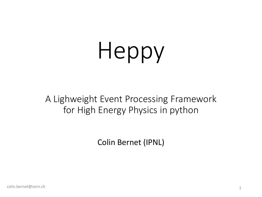# Heppy

A Lighweight Event Processing Framework for High Energy Physics in python

Colin Bernet (IPNL)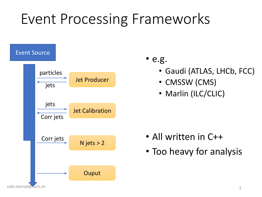### Event Processing Frameworks



- e.g.
	- Gaudi (ATLAS, LHCb, FCC)
	- CMSSW (CMS)
	- Marlin (ILC/CLIC)

- All written in C++
- Too heavy for analysis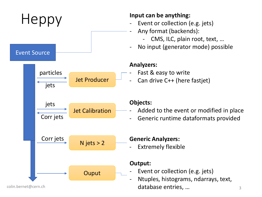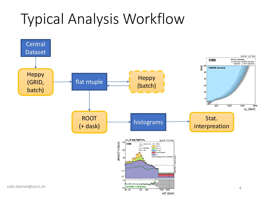# Typical Analysis Workflow

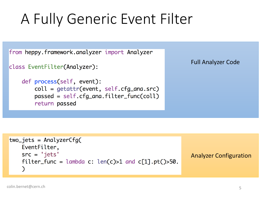## A Fully Generic Event Filter

from heppy.framework.analyzer import Analyzer

```
class EventFilter(Analyzer):
```

```
def process(self, event):
    coll = getattr(event, self.cfg_name.src)passed = self.cfg_ana.filter_func(coll)
    return passed
```
Full Analyzer Code

```
two_{\text{jets}} = AnalyzerCfg(EventFilter,
    src = 'jets'Analyzer Configurationfilter_func = lambda c: len(c) > 1 and c[1].pt()>50.
    )
```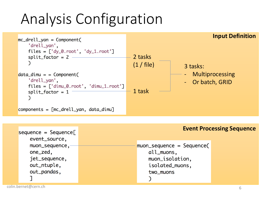## Analysis Configuration



| $sequence = Sequence$ | <b>Event Processing Sequence</b> |  |
|-----------------------|----------------------------------|--|
| event_source,         |                                  |  |
| muon_sequence,        | muon_sequence = Sequence(        |  |
| one_zed,              | all_muons,                       |  |
| jet_sequence,         | muon_isolation,                  |  |
| out_ntuple,           | isolated_muons,                  |  |
| out_pandas,           | two_muons                        |  |
|                       |                                  |  |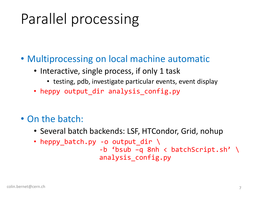# Parallel processing

- Multiprocessing on local machine automatic
	- Interactive, single process, if only 1 task
		- testing, pdb, investigate particular events, event display
	- heppy output\_dir analysis\_config.py
- On the batch:
	- Several batch backends: LSF, HTCondor, Grid, nohup
	- heppy\_batch.py -o output\_dir \ -b 'bsub –q 8nh < batchScript.sh' \ analysis\_config.py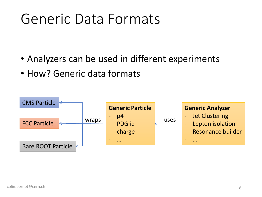#### Generic Data Formats

- Analyzers can be used in different experiments
- How? Generic data formats

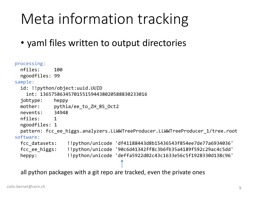## Meta information tracking

• yaml files written to output directories

```
processing:
 nfiles: 100
 ngoodfiles: 99
sample:
 id: !!python/object:uuid.UUID
   int: 13657586345701551594438020588830233016
 jobtype: heppy
 mother: pythia/ee to ZH BS Oct2
 nevents: 34948
 nfiles: 1
 ngoodfiles: 1
 pattern: fcc ee higgs.analyzers.LLWWTreeProducer.LLWWTreeProducer 1/tree.root
software:
 fcc_datasets: !!python/unicode 'df41188443d8b15436543f854ee7de77a6934036'
 fcc_ee_higgs: !!python/unicode '90c6d41342ff8c3b6fb35a4189f592c29ac4c5dd'
 heppy: !!python/unicode 'deffa5922d02c43c1633e56c5f1928330d138c96'
```
all python packages with a git repo are tracked, even the private ones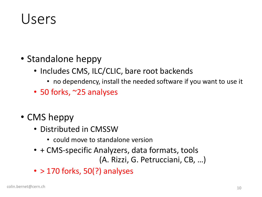#### Users

- Standalone heppy
	- Includes CMS, ILC/CLIC, bare root backends
		- no dependency, install the needed software if you want to use it
	- 50 forks, ~25 analyses
- CMS heppy
	- Distributed in CMSSW
		- could move to standalone version
	- + CMS-specific Analyzers, data formats, tools (A. Rizzi, G. Petrucciani, CB, …)
	- $\cdot$  > 170 forks, 50(?) analyses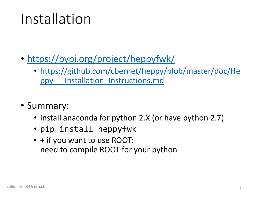#### Installation

- <https://pypi.org/project/heppyfwk/>
	- [https://github.com/cbernet/heppy/blob/master/doc/He](https://github.com/cbernet/heppy/blob/master/doc/Heppy_-_Installation_Instructions.md) ppy\_-\_Installation\_Instructions.md
- Summary:
	- install anaconda for python 2.X (or have python 2.7)
	- pip install heppyfwk
	- + if you want to use ROOT: need to compile ROOT for your python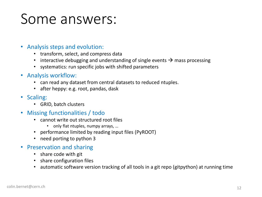#### Some answers:

- Analysis steps and evolution:
	- transform, select, and compress data
	- interactive debugging and understanding of single events  $\rightarrow$  mass processing
	- systematics: run specific jobs with shifted parameters
- Analysis workflow:
	- can read any dataset from central datasets to reduced ntuples.
	- after heppy: e.g. root, pandas, dask
- Scaling:
	- GRID, batch clusters
- Missing functionalities / todo
	- cannot write out structured root files
		- only flat ntuples, numpy arrays, ...
	- performance limited by reading input files (PyROOT)
	- need porting to python 3
- Preservation and sharing
	- share code with git
	- share configuration files
	- automatic software version tracking of all tools in a git repo (gitpython) at running time